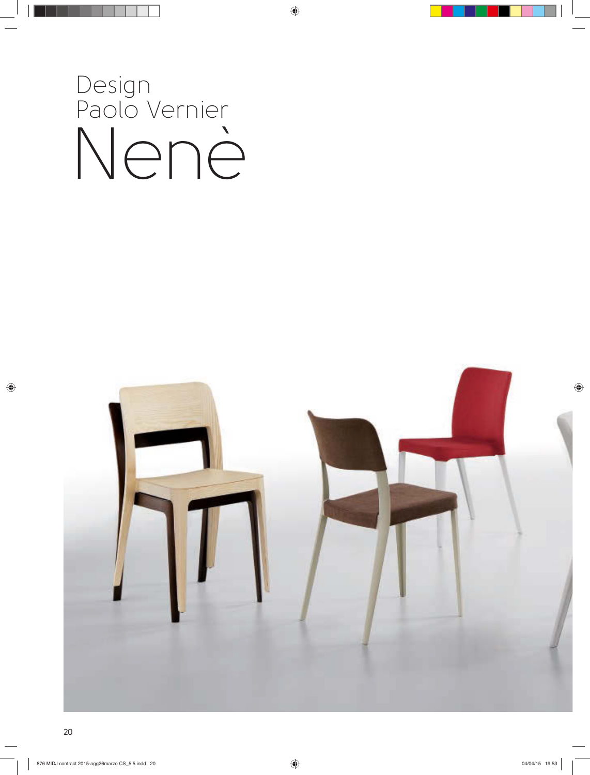

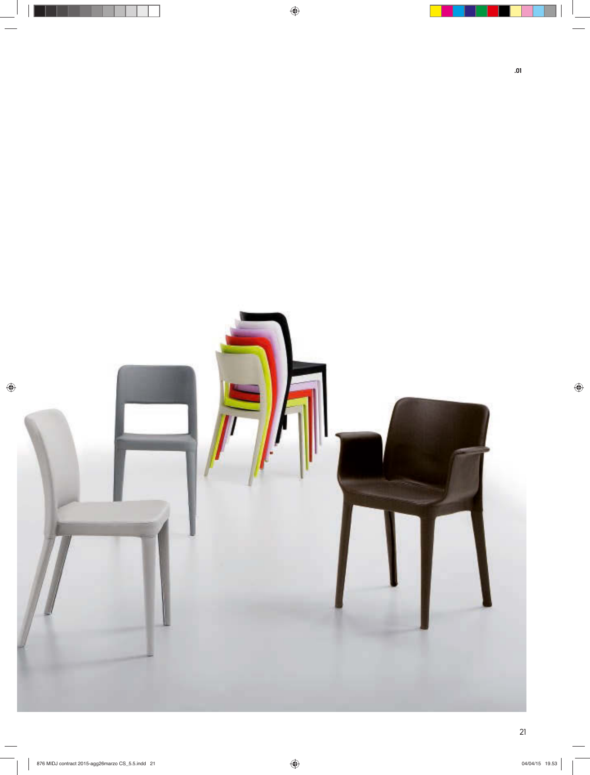

 $.01$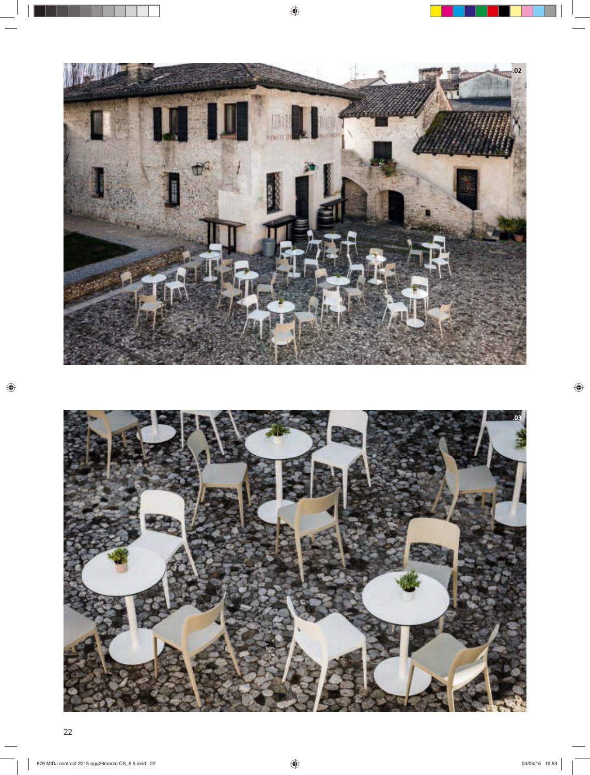

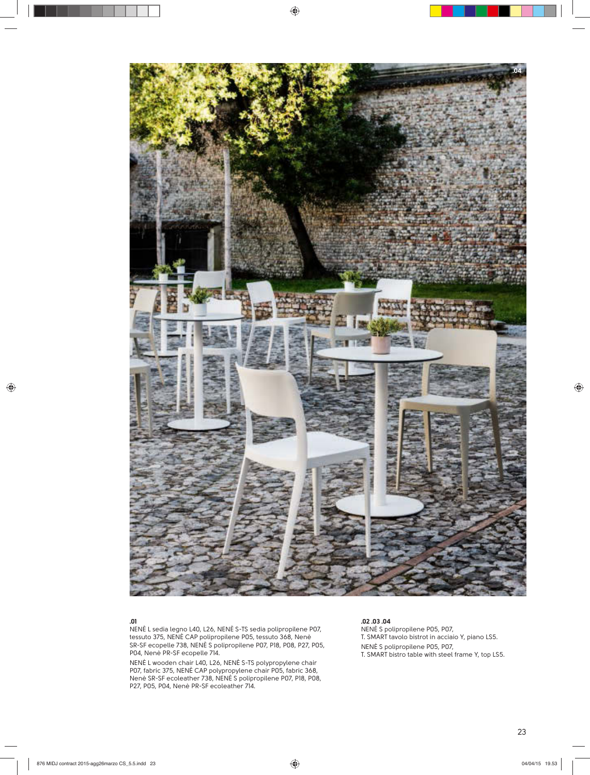

# **.01**

NENÈ L sedia legno L40, L26, NENÈ S-TS sedia polipropilene P07, tessuto 375, NENÈ CAP polipropilene P05, tessuto 368, Nenè SR-SF ecopelle 738, NENÈ S polipropilene P07, P18, P08, P27, P05, P04, Nenè PR-SF ecopelle 714.

NENÈ L wooden chair L40, L26, NENÈ S-TS polypropylene chair P07, fabric 375, NENÈ CAP polypropylene chair P05, fabric 368, Nenè SR-SF ecoleather 738, NENÈ S polipropilene P07, P18, P08, P27, P05, P04, Nenè PR-SF ecoleather 714.

# **.02 .03 .04**

NENÈ S polipropilene P05, P07, T. SMART tavolo bistrot in acciaio Y, piano LS5. NENÈ S polipropilene P05, P07, T. SMART bistro table with steel frame Y, top LS5.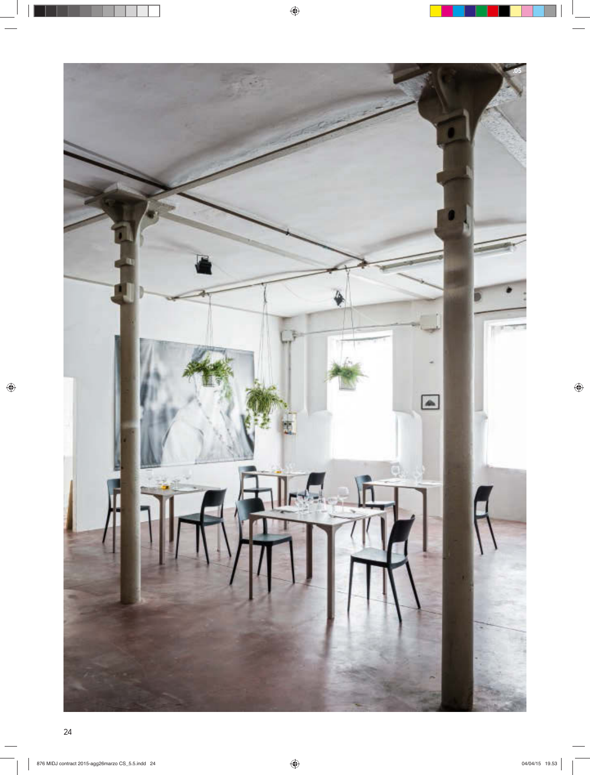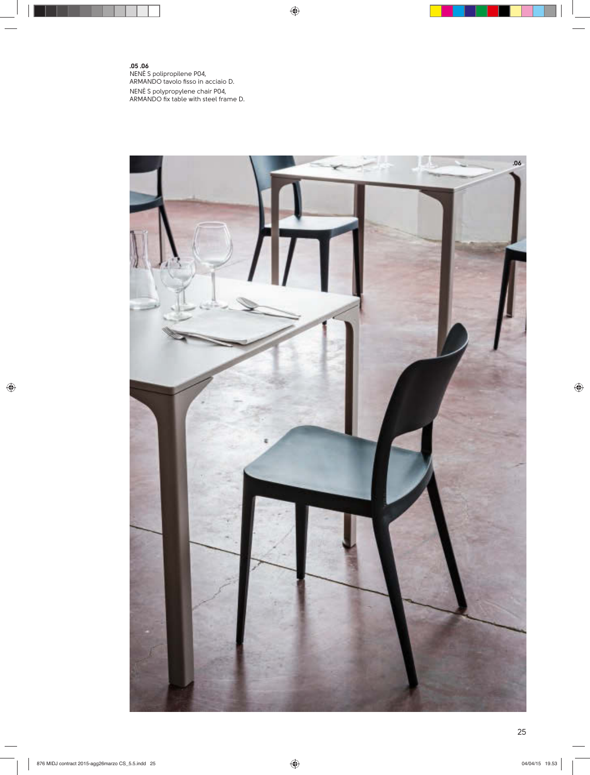**.05 .06**<br>NENÈ S polipropilene P04,<br>ARMANDO tavolo fisso in acciaio D. ....<br>NENÈ S polypropylene chair P04,<br>ARMANDO fix table with steel frame D.

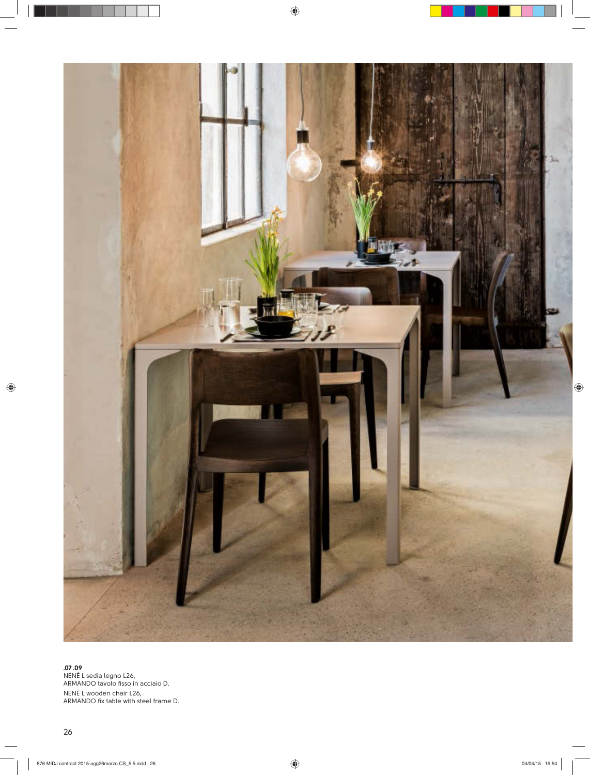

**.07 .09** NENÈ L sedia legno L26, ARMANDO tavolo fisso in acciaio D. NENÈ L wooden chair L26, ARMANDO fix table with steel frame D.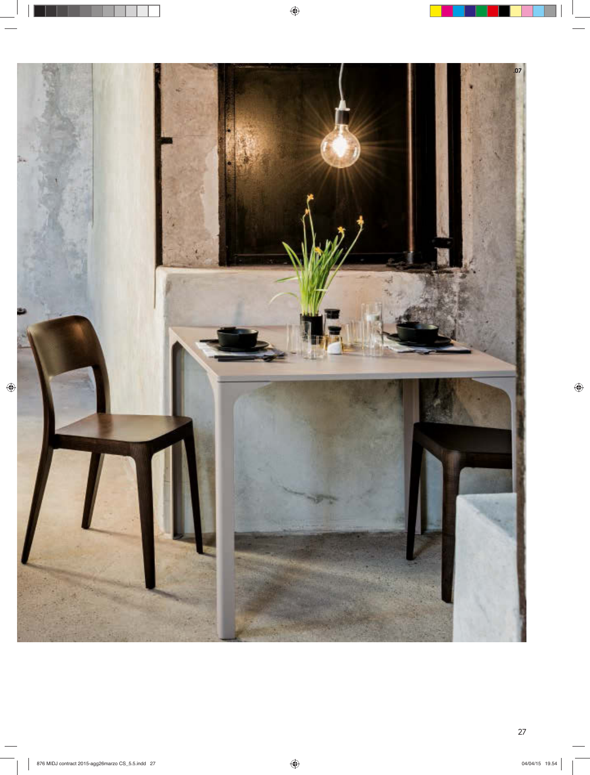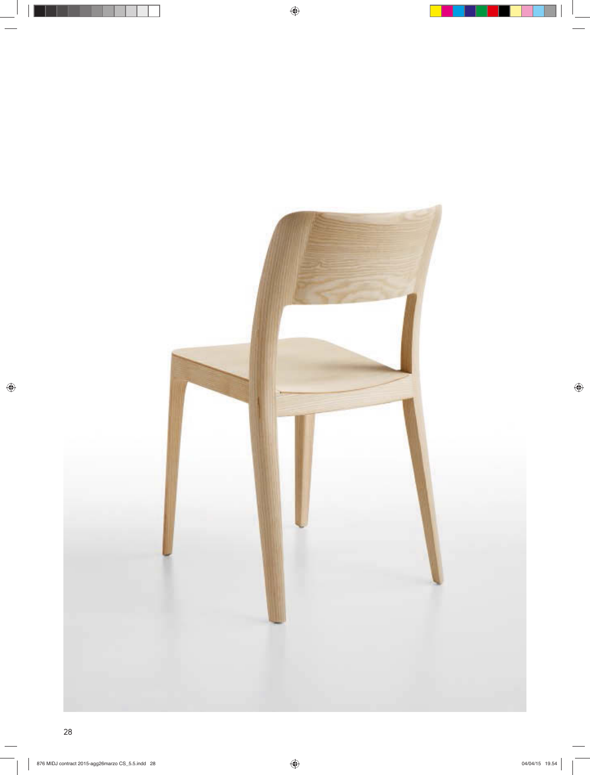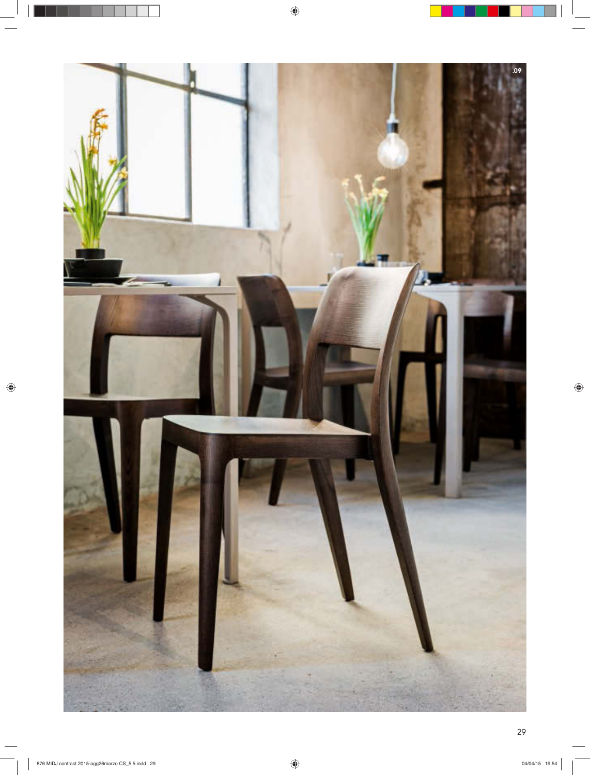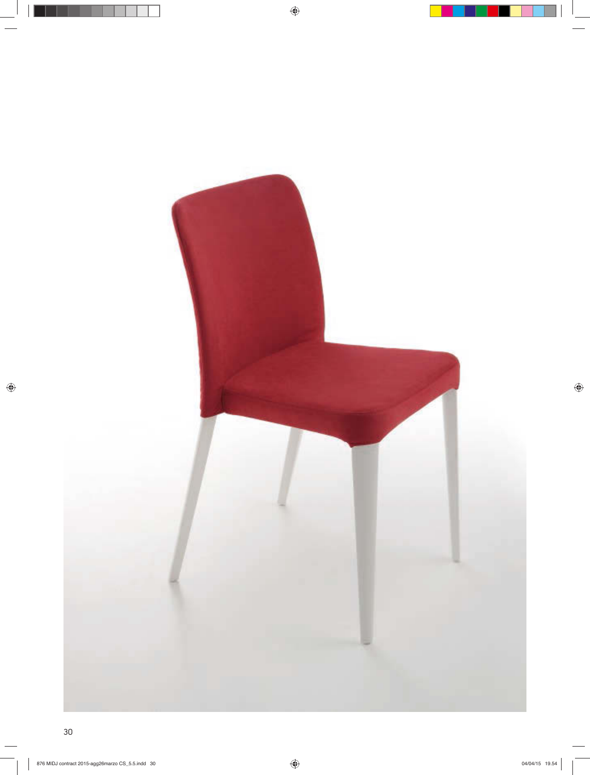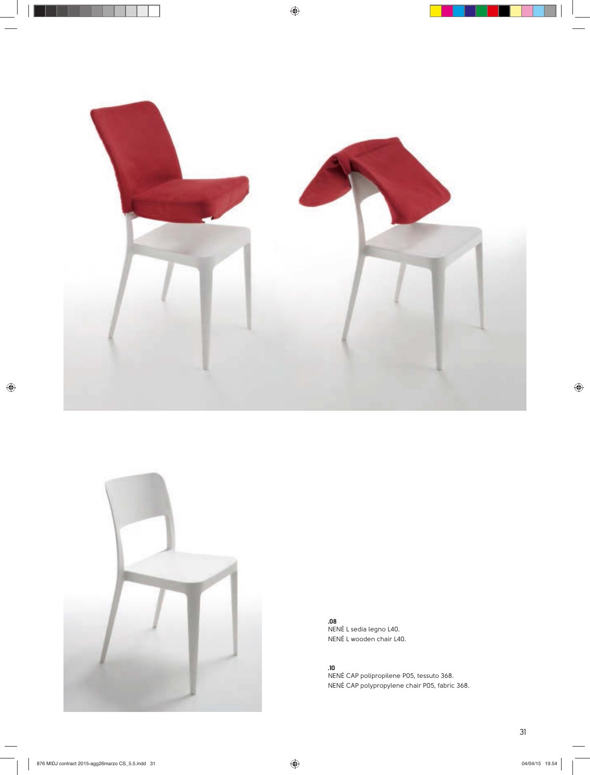



**.08** NENÈ L sedia legno L40. NENÈ L wooden chair L40.

# **.10**

NENÈ CAP polipropilene P05, tessuto 368. NENÈ CAP polypropylene chair P05, fabric 368.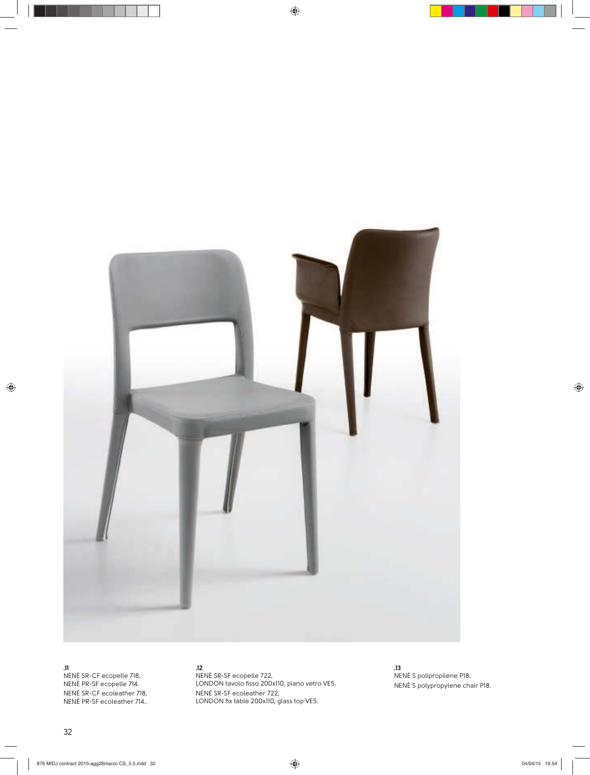

 $.11$ ...<br>NENÈ SR-CF ecopelle 718,<br>NENÈ PR-SF ecopelle 714. NENÈ SR-CF ecoleather 718, NENÈ PR-SF ecoleather 714..

**.12**<br>NENÈ SR-SF ecopelle 722,<br>LONDON tavolo fisso 200x110, piano vetro VE5. NENÈ ST. SECOLO METALE 2001<br>NENÈ SR-SF ecoloather 722,<br>LONDON fix table 200x110, glass top VE5.

.13<br>NENÈ S polipropilene P18. NENÈ S polypropylene chair P18.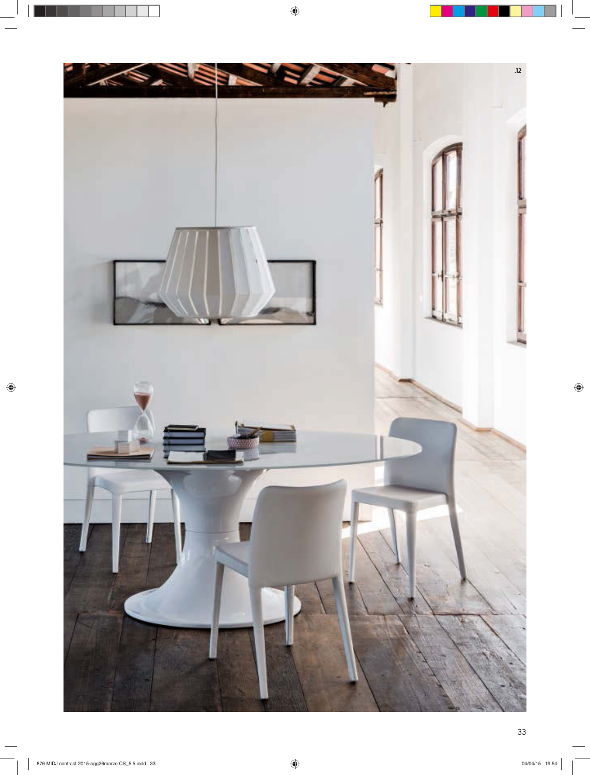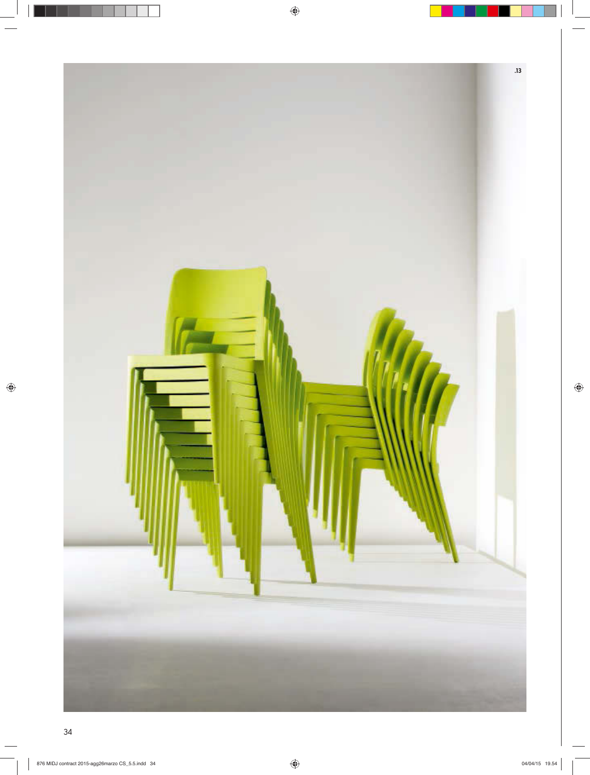